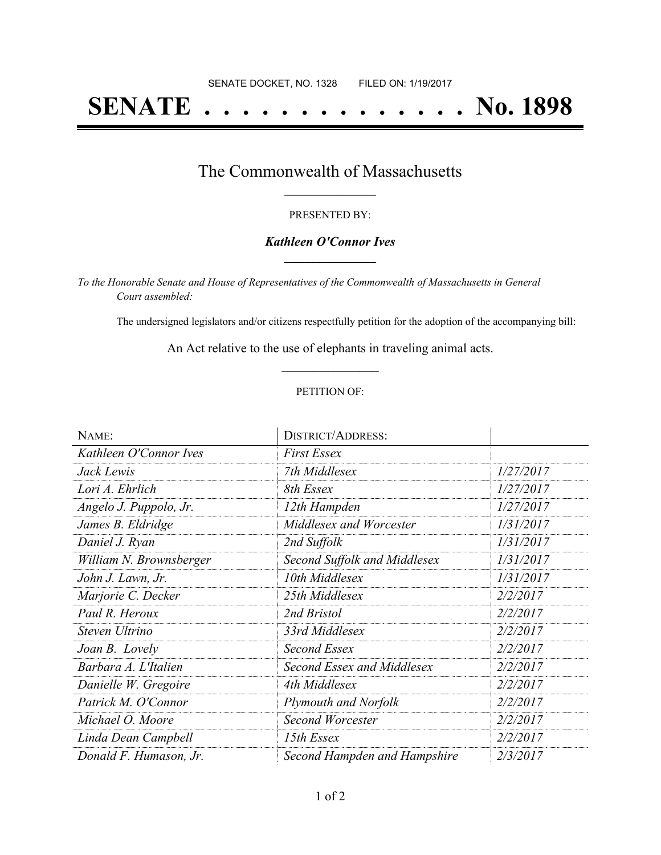# **SENATE . . . . . . . . . . . . . . No. 1898**

### The Commonwealth of Massachusetts **\_\_\_\_\_\_\_\_\_\_\_\_\_\_\_\_\_**

#### PRESENTED BY:

#### *Kathleen O'Connor Ives* **\_\_\_\_\_\_\_\_\_\_\_\_\_\_\_\_\_**

*To the Honorable Senate and House of Representatives of the Commonwealth of Massachusetts in General Court assembled:*

The undersigned legislators and/or citizens respectfully petition for the adoption of the accompanying bill:

An Act relative to the use of elephants in traveling animal acts. **\_\_\_\_\_\_\_\_\_\_\_\_\_\_\_**

#### PETITION OF:

| NAME:                   | <b>DISTRICT/ADDRESS:</b>     |           |
|-------------------------|------------------------------|-----------|
| Kathleen O'Connor Ives  | <b>First Essex</b>           |           |
| Jack Lewis              | 7th Middlesex                | 1/27/2017 |
| Lori A. Ehrlich         | 8th Essex                    | 1/27/2017 |
| Angelo J. Puppolo, Jr.  | 12th Hampden                 | 1/27/2017 |
| James B. Eldridge       | Middlesex and Worcester      | 1/31/2017 |
| Daniel J. Ryan          | 2nd Suffolk                  | 1/31/2017 |
| William N. Brownsberger | Second Suffolk and Middlesex | 1/31/2017 |
| John J. Lawn, Jr.       | 10th Middlesex               | 1/31/2017 |
| Marjorie C. Decker      | 25th Middlesex               | 2/2/2017  |
| Paul R. Heroux          | 2nd Bristol                  | 2/2/2017  |
| Steven Ultrino          | 33rd Middlesex               | 2/2/2017  |
| Joan B. Lovely          | Second Essex                 | 2/2/2017  |
| Barbara A. L'Italien    | Second Essex and Middlesex   | 2/2/2017  |
| Danielle W. Gregoire    | 4th Middlesex                | 2/2/2017  |
| Patrick M. O'Connor     | Plymouth and Norfolk         | 2/2/2017  |
| Michael O. Moore        | <b>Second Worcester</b>      | 2/2/2017  |
| Linda Dean Campbell     | 15th Essex                   | 2/2/2017  |
| Donald F. Humason, Jr.  | Second Hampden and Hampshire | 2/3/2017  |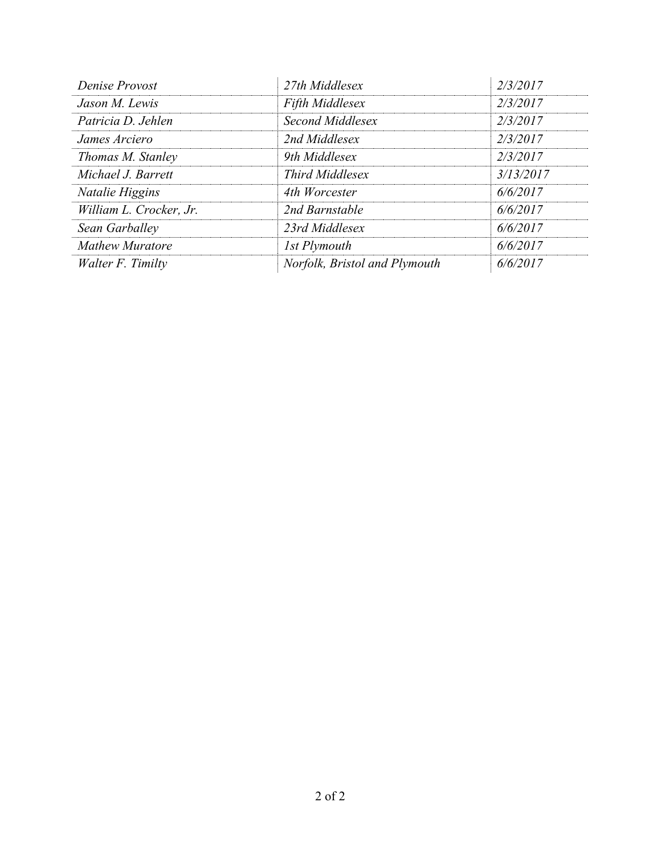| Denise Provost          | 27th Middlesex                | 2/3/2017  |
|-------------------------|-------------------------------|-----------|
| Jason M. Lewis          | <b>Fifth Middlesex</b>        | 2/3/2017  |
| Patricia D. Jehlen      | Second Middlesex              | 2/3/2017  |
| James Arciero           | 2nd Middlesex                 | 2/3/2017  |
| Thomas M. Stanley       | 9th Middlesex                 | 2/3/2017  |
| Michael J. Barrett      | Third Middlesex               | 3/13/2017 |
| Natalie Higgins         | 4th Worcester                 | 6/6/2017  |
| William L. Crocker, Jr. | 2nd Barnstable                | 6/6/2017  |
| Sean Garballey          | 23rd Middlesex                | 6/6/2017  |
| <b>Mathew Muratore</b>  | 1st Plymouth                  | 6/6/2017  |
| Walter F. Timilty       | Norfolk, Bristol and Plymouth | 6/6/2017  |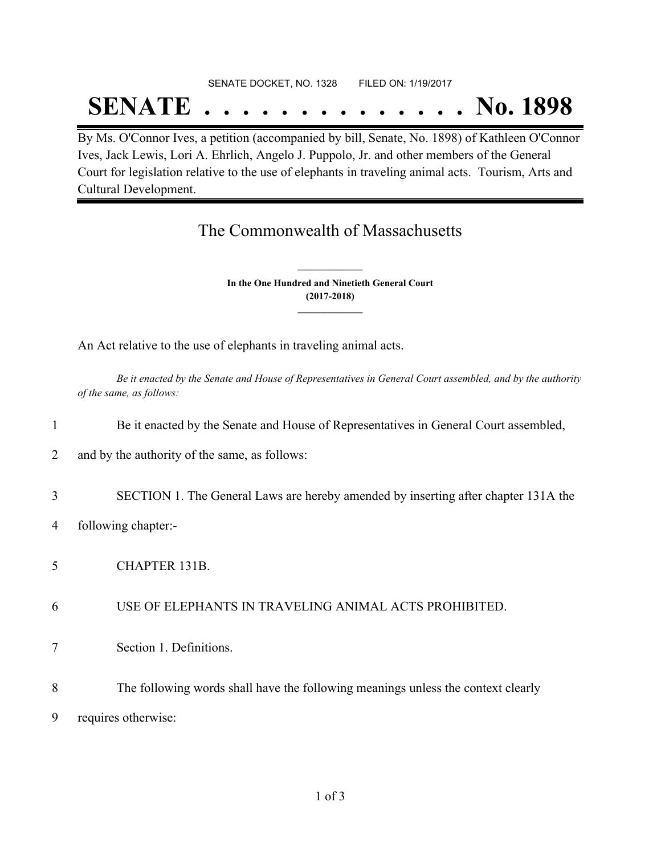## SENATE DOCKET, NO. 1328 FILED ON: 1/19/2017

# **SENATE . . . . . . . . . . . . . . No. 1898**

By Ms. O'Connor Ives, a petition (accompanied by bill, Senate, No. 1898) of Kathleen O'Connor Ives, Jack Lewis, Lori A. Ehrlich, Angelo J. Puppolo, Jr. and other members of the General Court for legislation relative to the use of elephants in traveling animal acts. Tourism, Arts and Cultural Development.

### The Commonwealth of Massachusetts

**In the One Hundred and Ninetieth General Court (2017-2018) \_\_\_\_\_\_\_\_\_\_\_\_\_\_\_**

**\_\_\_\_\_\_\_\_\_\_\_\_\_\_\_**

An Act relative to the use of elephants in traveling animal acts.

Be it enacted by the Senate and House of Representatives in General Court assembled, and by the authority *of the same, as follows:*

- 1 Be it enacted by the Senate and House of Representatives in General Court assembled,
- 2 and by the authority of the same, as follows:
- 3 SECTION 1. The General Laws are hereby amended by inserting after chapter 131A the
- 4 following chapter:-
- 5 CHAPTER 131B.

6 USE OF ELEPHANTS IN TRAVELING ANIMAL ACTS PROHIBITED.

- 7 Section 1. Definitions.
- 8 The following words shall have the following meanings unless the context clearly
- 9 requires otherwise: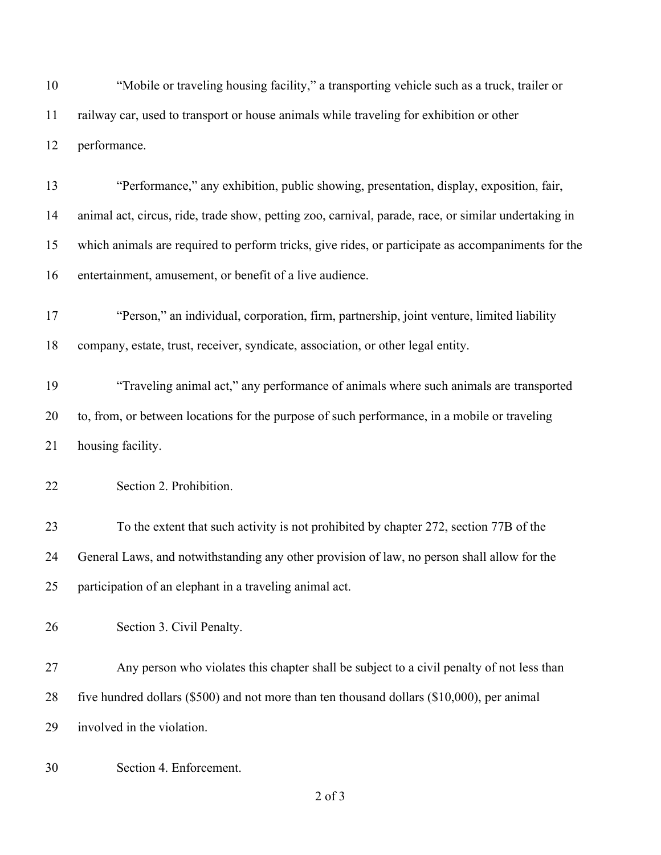"Mobile or traveling housing facility," a transporting vehicle such as a truck, trailer or railway car, used to transport or house animals while traveling for exhibition or other performance.

 "Performance," any exhibition, public showing, presentation, display, exposition, fair, animal act, circus, ride, trade show, petting zoo, carnival, parade, race, or similar undertaking in which animals are required to perform tricks, give rides, or participate as accompaniments for the entertainment, amusement, or benefit of a live audience.

 "Person," an individual, corporation, firm, partnership, joint venture, limited liability company, estate, trust, receiver, syndicate, association, or other legal entity.

 "Traveling animal act," any performance of animals where such animals are transported to, from, or between locations for the purpose of such performance, in a mobile or traveling housing facility.

Section 2. Prohibition.

 To the extent that such activity is not prohibited by chapter 272, section 77B of the General Laws, and notwithstanding any other provision of law, no person shall allow for the participation of an elephant in a traveling animal act.

Section 3. Civil Penalty.

 Any person who violates this chapter shall be subject to a civil penalty of not less than five hundred dollars (\$500) and not more than ten thousand dollars (\$10,000), per animal involved in the violation.

Section 4. Enforcement.

of 3